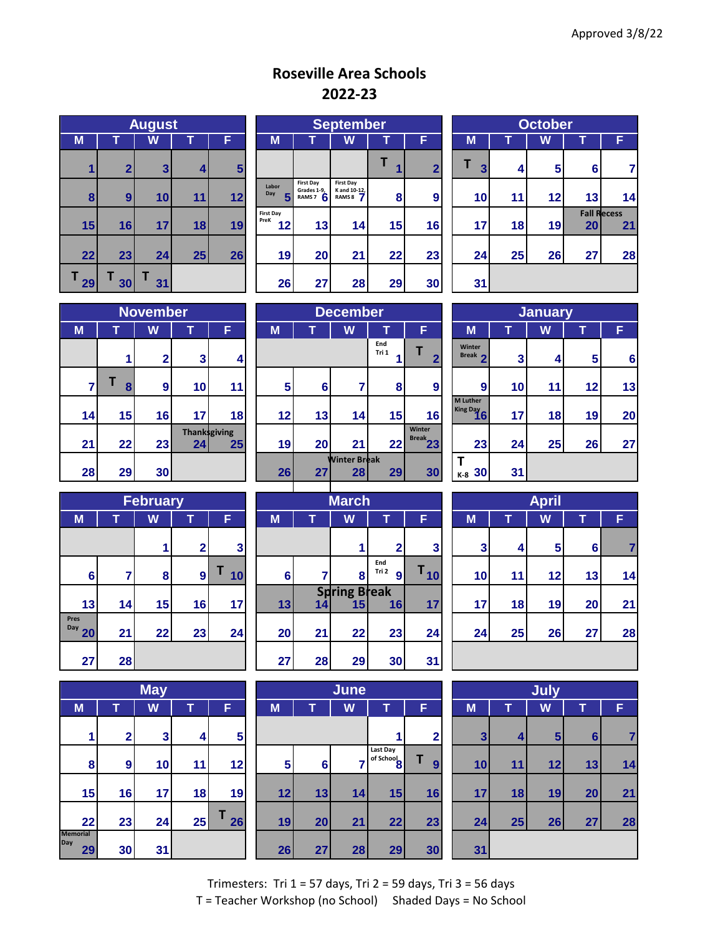## **Roseville Area Schools 2022-23**

|         |              | <b>August</b> |    |    |
|---------|--------------|---------------|----|----|
| M       |              |               |    |    |
| 1       | $\mathbf{2}$ | 3             | 4  | 5  |
| 8       | 9            | 10            | 11 | 12 |
| 15      | 16           | 17            | 18 | 19 |
| 22      | 23           | 24            | 25 | 26 |
| Τ<br>29 | 30           | 31            |    |    |

|    | <b>August</b>  |                 |    |                |                                | <b>September</b>                                     |                                                         |    |                |                 | October |                |                                 |    |  |
|----|----------------|-----------------|----|----------------|--------------------------------|------------------------------------------------------|---------------------------------------------------------|----|----------------|-----------------|---------|----------------|---------------------------------|----|--|
| M  |                | W               |    | F              | M                              |                                                      | W                                                       |    | F              | M               |         | W              |                                 | F  |  |
|    | $\overline{2}$ | 3 <sub>l</sub>  | 4  | 5 <sub>5</sub> |                                |                                                      |                                                         |    | $\overline{2}$ | 3               | 4       | 5 <sup>1</sup> | $6 \mid$                        |    |  |
| 8  | $\mathbf{9}$   | 10 <sub>l</sub> | 11 | 12             | Labor<br>Day                   | <b>First Day</b><br>Grades 1-9,<br>RAMS <sub>7</sub> | <b>First Day</b><br>K and 10-12,<br>RAMS <sub>8</sub> 7 | 8  | 9              | 10              | 11      | 12             | 13                              | 14 |  |
| 15 | 16             | 17 <sub>l</sub> | 18 | 19             | <b>First Day</b><br>PreK<br>12 | 13                                                   | 14                                                      | 15 | 16             | 17 <sub>1</sub> | 18      | 19             | <b>Fall Recess</b><br><b>20</b> | 21 |  |
| 22 | 23             | 24              | 25 | 26             | 19                             | 20                                                   | 21                                                      | 22 | 23             | 24              | 25      | 26             | 27                              | 28 |  |
| 29 | 30             | 31 <sub>l</sub> |    |                | 26                             | 27                                                   | 28                                                      | 29 | 30             | 31              |         |                |                                 |    |  |

|                              |    | <b>October</b> |    |                          |
|------------------------------|----|----------------|----|--------------------------|
| M                            |    | W              |    | F                        |
| Τ<br>$\overline{\mathbf{3}}$ | 4  | 5              | 6  | 7                        |
| 10                           | 11 | 12             | 13 | 14                       |
| 17                           | 18 | 19             | 20 | <b>Fall Recess</b><br>21 |
| 24                           | 25 | 26             | 27 | 28                       |
| 31                           |    |                |    |                          |

|    | <b>November</b> |              |                            |    |  |  |  |  |  |  |  |  |
|----|-----------------|--------------|----------------------------|----|--|--|--|--|--|--|--|--|
| M  | т               | W            |                            | F  |  |  |  |  |  |  |  |  |
|    | 1               | $\mathbf{2}$ | 3                          | 4  |  |  |  |  |  |  |  |  |
| 7  | Τ<br>8          | 9            | 10                         | 11 |  |  |  |  |  |  |  |  |
| 14 | 15              | 16           | 17                         | 18 |  |  |  |  |  |  |  |  |
| 21 | 22              | 23           | <b>Thank</b> sgiving<br>24 | 25 |  |  |  |  |  |  |  |  |
| 28 | 29              | 30           |                            |    |  |  |  |  |  |  |  |  |

|    | <b>November</b> |                 |                |                                        |    | <b>December</b> |                           |                 |                         |  |                               | <b>January</b> |    |                |    |  |  |
|----|-----------------|-----------------|----------------|----------------------------------------|----|-----------------|---------------------------|-----------------|-------------------------|--|-------------------------------|----------------|----|----------------|----|--|--|
| M  |                 | W               |                | F                                      | M  |                 | W                         |                 | F.                      |  | M                             |                | W  |                | F  |  |  |
|    |                 | 2 <sub>1</sub>  | 3 <sup>1</sup> | 4                                      |    |                 |                           | End<br>Tri 1    | $\overline{\mathbf{2}}$ |  | Winter<br>Break ?             | 3              | 4  | 5 <sup>1</sup> | 6  |  |  |
|    | 8               | 9 <sub>l</sub>  | 10             | 11                                     | 5  | 6               |                           | 8               | 9                       |  | 9                             | 10             | 11 | 12             | 13 |  |  |
| 14 | 15              | 16              | 17             | 18                                     | 12 | 13              | 14                        | 15 <sub>1</sub> | 16                      |  | <b>M</b> Luther<br>King Day 6 | 17             | 18 | 19             | 20 |  |  |
| 21 | 22              | 23              | 24             | <b>Thanksgiving</b><br>25 <sub>1</sub> | 19 | 20              | 21                        | 22              | Winter<br>$Break$ 23    |  | 23                            | 24             | 25 | 26             | 27 |  |  |
| 28 | 29              | 30 <sub>l</sub> |                |                                        | 26 | 27 <sup>1</sup> | <b>Winter Break</b><br>28 | 29 <sub>l</sub> | 30                      |  | K-8 30                        | 31             |    |                |    |  |  |

|                                                      | <b>January</b> |    |    |    |  |  |  |  |  |  |  |  |
|------------------------------------------------------|----------------|----|----|----|--|--|--|--|--|--|--|--|
| M                                                    |                | W  | т  | F  |  |  |  |  |  |  |  |  |
| Winter<br>Break 2                                    | 3              | 4  | 5  | 6  |  |  |  |  |  |  |  |  |
| 9                                                    | 10             | 11 | 12 | 13 |  |  |  |  |  |  |  |  |
| <b>M</b> Luther<br><b>M<sub>Le</sub></b><br>King Day | 17             | 18 | 19 | 20 |  |  |  |  |  |  |  |  |
| 23                                                   | 24             | 25 | 26 | 27 |  |  |  |  |  |  |  |  |
| $K-8$ 30                                             | 31             |    |    |    |  |  |  |  |  |  |  |  |

| <b>February</b>   |    |        |              |    |  |  |  |  |  |  |  |
|-------------------|----|--------|--------------|----|--|--|--|--|--|--|--|
| M                 | Ò  | W<br>т |              | F  |  |  |  |  |  |  |  |
|                   |    | 1      | $\mathbf{2}$ | 3  |  |  |  |  |  |  |  |
| 6                 | 7  | 8      | 9            | 10 |  |  |  |  |  |  |  |
| 13                | 14 | 15     | 16           | 17 |  |  |  |  |  |  |  |
| Pres<br>Day<br>20 | 21 | 22     | 23           | 24 |  |  |  |  |  |  |  |
| 27                | 28 |        |              |    |  |  |  |  |  |  |  |

|                              | <b>May</b>              |    |    |    |  |  |  |  |  |  |  |  |
|------------------------------|-------------------------|----|----|----|--|--|--|--|--|--|--|--|
| M                            | т                       | Π  | F  |    |  |  |  |  |  |  |  |  |
| 1                            | $\overline{\mathbf{2}}$ | 3  | 4  | 5  |  |  |  |  |  |  |  |  |
| 8                            | 9                       | 10 | 11 | 12 |  |  |  |  |  |  |  |  |
| 15                           | 16                      | 17 | 18 | 19 |  |  |  |  |  |  |  |  |
| 22                           | 23                      | 24 | 25 | 26 |  |  |  |  |  |  |  |  |
| <b>Memorial</b><br>Day<br>29 | 30                      | 31 |    |    |  |  |  |  |  |  |  |  |

|                            |    | <b>February</b> |                |    |    |                 | March                     |                   |          |    |    | <b>April</b> |          |   |
|----------------------------|----|-----------------|----------------|----|----|-----------------|---------------------------|-------------------|----------|----|----|--------------|----------|---|
| M                          |    | W               |                | F  | M  | T               | W                         | T                 | F        | M  |    | W            |          | F |
|                            |    |                 | 2 <sup>1</sup> | 3  |    |                 |                           | 2                 | 3        | 3  | 4  | 5            | $6 \mid$ |   |
| $6\phantom{a}$             |    | 8               | $\mathbf{9}$   | 10 | 6  |                 | 8                         | End<br>Tri 2<br>9 | $T_{10}$ | 10 | 11 | 12           | 13       |   |
| 13                         | 14 | 15              | 16             | 17 | 13 | 14 <sup>1</sup> | <b>Spring Break</b><br>15 | 16                | 17       | 17 | 18 | 19           | 20       |   |
| es<br>$^{\prime\prime}$ 20 | 21 | 22              | 23             | 24 | 20 | 21              | 22                        | 23                | 24       | 24 | 25 | 26           | 27       |   |
| 27                         | 28 |                 |                |    | 27 | 28              | 29                        | 30                | 31       |    |    |              |          |   |

|              |                | <b>May</b>      |         |                |    |        | June |                                    |                | <b>July</b>     |                         |                |                |    |
|--------------|----------------|-----------------|---------|----------------|----|--------|------|------------------------------------|----------------|-----------------|-------------------------|----------------|----------------|----|
| M            | т              | W               |         | F              | M  |        | W    |                                    | F              | M               |                         | W              |                | F  |
|              | 2 <sub>1</sub> | 3 <sub>l</sub>  | $\vert$ | 5 <sub>5</sub> |    |        |      |                                    | $\overline{2}$ | $\mathbf{3}$    | $\overline{\mathbf{4}}$ | 5 <sub>5</sub> | 6 <sup>1</sup> |    |
| 8            | 9 <sup>1</sup> | 10              | 11      | 12             | 5  | $6 \,$ |      | Last Day<br>of School <sub>8</sub> | 9              | 10              | 11                      | 12             | 13             | 14 |
| 15           | 16             | 17 <sub>l</sub> | 18      | 19             | 12 | 13     | 14   | 15                                 | 16             | 17 <sub>l</sub> | 18                      | 19             | 20             | 21 |
| 22           | 23             | 24              | 25      | 26             | 19 | 20     | 21   | 22                                 | 23             | 24              | 25                      | 26             | 27             | 28 |
| norial<br>29 | 30             | 31              |         |                | 26 | 27     | 28   | 29                                 | 30             | 31              |                         |                |                |    |

|      |                 | <b>February</b> |              |    |    | <b>March</b>    |                                        |                                  |                 |                 | <b>April</b> |    |    |    |  |
|------|-----------------|-----------------|--------------|----|----|-----------------|----------------------------------------|----------------------------------|-----------------|-----------------|--------------|----|----|----|--|
|      |                 | W               |              | F  | M  |                 | W                                      |                                  | F               | M               |              | W  |    | F  |  |
|      |                 |                 | ◠            | 3  |    |                 |                                        | $\mathbf{2}$                     | 3               | 3               | 4            | 5  | 6  |    |  |
| 6    |                 | 8               | $\mathbf{9}$ | 10 | 6  |                 | 8                                      | End<br>Tri 2<br>$\boldsymbol{9}$ | 10              | 10 <sup>1</sup> | 11           | 12 | 13 | 14 |  |
| 13   | 14              | 15              | 16           | 17 | 13 | 14 <sub>1</sub> | <b>Spring Break</b><br>15 <sub>1</sub> | 16                               | 17              | 17 <sub>1</sub> | 18           | 19 | 20 | 21 |  |
| 20   | 21              | 22              | 23           | 24 | 20 | 21              | 22                                     | 23                               | 24              | 24              | 25           | 26 | 27 | 28 |  |
| 27 I | 28 <sup>1</sup> |                 |              |    | 27 | 28              | 29                                     | 30 <sup>1</sup>                  | 31 <sup>1</sup> |                 |              |    |    |    |  |

|    | July |    |                 |    |  |  |  |  |  |  |  |  |
|----|------|----|-----------------|----|--|--|--|--|--|--|--|--|
| M  | T    | W  | T               | F  |  |  |  |  |  |  |  |  |
| 3  | 4    | 5  | $6\phantom{1}6$ | 7  |  |  |  |  |  |  |  |  |
| 10 | 11   | 12 | 13              | 14 |  |  |  |  |  |  |  |  |
| 17 | 18   | 19 | 20              | 21 |  |  |  |  |  |  |  |  |
| 24 | 25   | 26 | 27              | 28 |  |  |  |  |  |  |  |  |
| 31 |      |    |                 |    |  |  |  |  |  |  |  |  |

Trimesters: Tri 1 = 57 days, Tri 2 = 59 days, Tri 3 = 56 days T = Teacher Workshop (no School) Shaded Days = No School